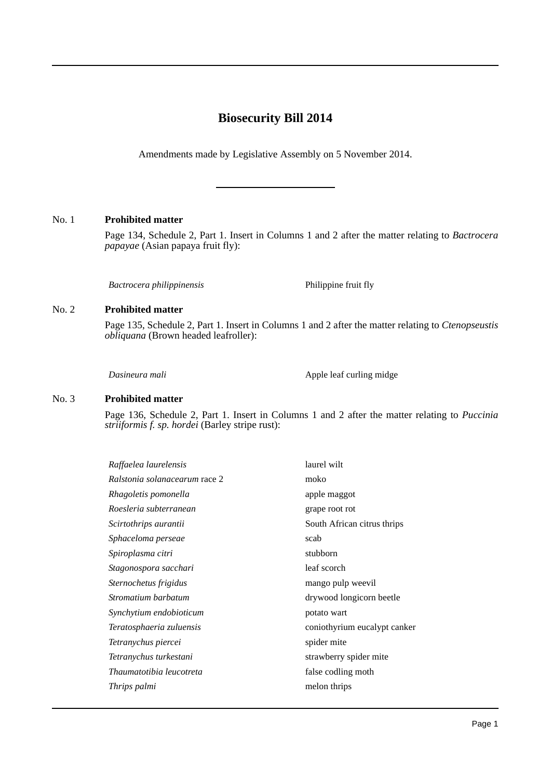# **Biosecurity Bill 2014**

Amendments made by Legislative Assembly on 5 November 2014.

## No. 1 **Prohibited matter**

Page 134, Schedule 2, Part 1. Insert in Columns 1 and 2 after the matter relating to *Bactrocera papayae* (Asian papaya fruit fly):

*Bactrocera philippinensis* Philippine fruit fly

#### No. 2 **Prohibited matter**

Page 135, Schedule 2, Part 1. Insert in Columns 1 and 2 after the matter relating to *Ctenopseustis obliquana* (Brown headed leafroller):

*Dasineura mali* Apple leaf curling midge

#### No. 3 **Prohibited matter**

Page 136, Schedule 2, Part 1. Insert in Columns 1 and 2 after the matter relating to *Puccinia striiformis f. sp. hordei* (Barley stripe rust):

| Raffaelea laurelensis         | laurel wilt                  |
|-------------------------------|------------------------------|
| Ralstonia solanacearum race 2 | moko                         |
| Rhagoletis pomonella          | apple maggot                 |
| Roesleria subterranean        | grape root rot               |
| Scirtothrips aurantii         | South African citrus thrips  |
| Sphaceloma perseae            | scab                         |
| Spiroplasma citri             | stubborn                     |
| Stagonospora sacchari         | leaf scorch                  |
| Sternochetus frigidus         | mango pulp weevil            |
| Stromatium barbatum           | drywood longicorn beetle     |
| Synchytium endobioticum       | potato wart                  |
| Teratosphaeria zuluensis      | coniothyrium eucalypt canker |
| Tetranychus piercei           | spider mite                  |
| Tetranychus turkestani        | strawberry spider mite       |
| Thaumatotibia leucotreta      | false codling moth           |
| Thrips palmi                  | melon thrips                 |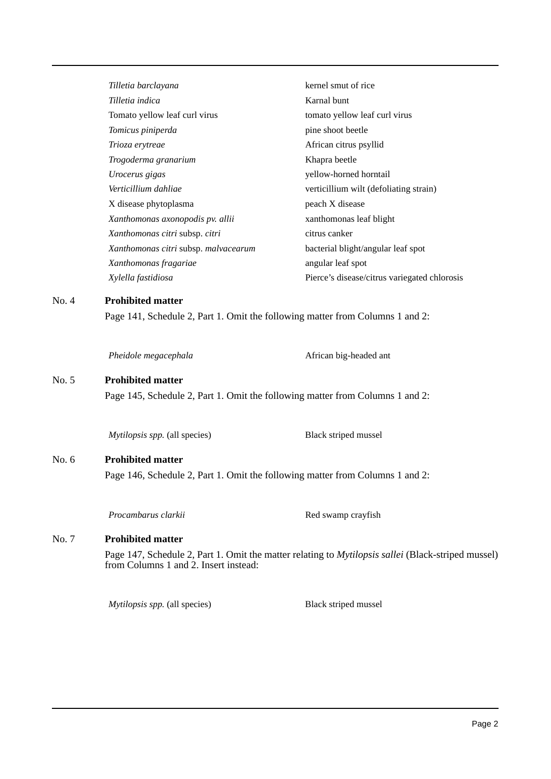*Tilletia barclayana* kernel smut of rice *Tilletia indica* Karnal bunt Tomato yellow leaf curl virus tomato yellow leaf curl virus *Tomicus piniperda* pine shoot beetle *Trioza erytreae* African citrus psyllid *Trogoderma granarium* Khapra beetle *Urocerus gigas* yellow-horned horntail *Verticillium dahliae* verticillium wilt (defoliating strain) X disease phytoplasma<br>peach X disease *Xanthomonas axonopodis pv. allii* xanthomonas leaf blight *Xanthomonas citri* subsp. *citri* citrus canker *Xanthomonas citri* subsp. *malvacearum* bacterial blight/angular leaf spot *Xanthomonas fragariae* angular leaf spot *Xylella fastidiosa* Pierce's disease/citrus variegated chlorosis

# No. 4 **Prohibited matter**

Page 141, Schedule 2, Part 1. Omit the following matter from Columns 1 and 2:

*Pheidole megacephala* African big-headed ant

## No. 5 **Prohibited matter**

Page 145, Schedule 2, Part 1. Omit the following matter from Columns 1 and 2:

*Mytilopsis spp.* (all species) Black striped mussel

# No. 6 **Prohibited matter**

Page 146, Schedule 2, Part 1. Omit the following matter from Columns 1 and 2:

*Procambarus clarkii* Red swamp crayfish

# No. 7 **Prohibited matter**

Page 147, Schedule 2, Part 1. Omit the matter relating to *Mytilopsis sallei* (Black-striped mussel) from Columns 1 and 2. Insert instead:

*Mytilopsis spp.* (all species) Black striped mussel